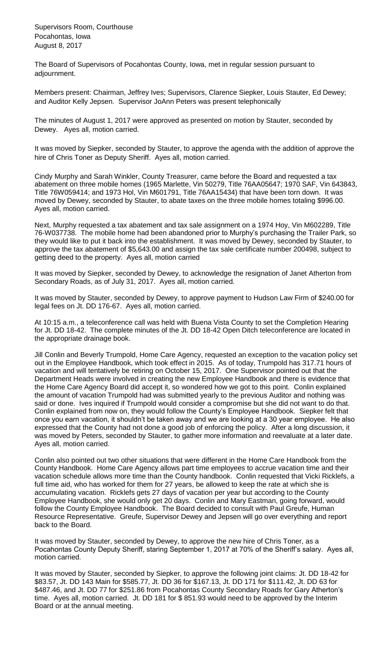Supervisors Room, Courthouse Pocahontas, Iowa August 8, 2017

The Board of Supervisors of Pocahontas County, Iowa, met in regular session pursuant to adjournment.

Members present: Chairman, Jeffrey Ives; Supervisors, Clarence Siepker, Louis Stauter, Ed Dewey; and Auditor Kelly Jepsen. Supervisor JoAnn Peters was present telephonically

The minutes of August 1, 2017 were approved as presented on motion by Stauter, seconded by Dewey. Ayes all, motion carried.

It was moved by Siepker, seconded by Stauter, to approve the agenda with the addition of approve the hire of Chris Toner as Deputy Sheriff. Ayes all, motion carried.

Cindy Murphy and Sarah Winkler, County Treasurer, came before the Board and requested a tax abatement on three mobile homes (1965 Marlette, Vin 50279, Title 76AA05647; 1970 SAF, Vin 643843, Title 76W059414; and 1973 Hol, Vin M601791, Title 76AA15434) that have been torn down. It was moved by Dewey, seconded by Stauter, to abate taxes on the three mobile homes totaling \$996.00. Ayes all, motion carried.

Next, Murphy requested a tax abatement and tax sale assignment on a 1974 Hoy, Vin M602289, Title 76-W037738. The mobile home had been abandoned prior to Murphy's purchasing the Trailer Park, so they would like to put it back into the establishment. It was moved by Dewey, seconded by Stauter, to approve the tax abatement of \$5,643.00 and assign the tax sale certificate number 200498, subject to getting deed to the property. Ayes all, motion carried

It was moved by Siepker, seconded by Dewey, to acknowledge the resignation of Janet Atherton from Secondary Roads, as of July 31, 2017. Ayes all, motion carried.

It was moved by Stauter, seconded by Dewey, to approve payment to Hudson Law Firm of \$240.00 for legal fees on Jt. DD 176-67. Ayes all, motion carried.

At 10:15 a.m., a teleconference call was held with Buena Vista County to set the Completion Hearing for Jt. DD 18-42. The complete minutes of the Jt. DD 18-42 Open Ditch teleconference are located in the appropriate drainage book.

Jill Conlin and Beverly Trumpold, Home Care Agency, requested an exception to the vacation policy set out in the Employee Handbook, which took effect in 2015. As of today, Trumpold has 317.71 hours of vacation and will tentatively be retiring on October 15, 2017. One Supervisor pointed out that the Department Heads were involved in creating the new Employee Handbook and there is evidence that the Home Care Agency Board did accept it, so wondered how we got to this point. Conlin explained the amount of vacation Trumpold had was submitted yearly to the previous Auditor and nothing was said or done. Ives inquired if Trumpold would consider a compromise but she did not want to do that. Conlin explained from now on, they would follow the County's Employee Handbook. Siepker felt that once you earn vacation, it shouldn't be taken away and we are looking at a 30 year employee. He also expressed that the County had not done a good job of enforcing the policy. After a long discussion, it was moved by Peters, seconded by Stauter, to gather more information and reevaluate at a later date. Ayes all, motion carried.

Conlin also pointed out two other situations that were different in the Home Care Handbook from the County Handbook. Home Care Agency allows part time employees to accrue vacation time and their vacation schedule allows more time than the County handbook. Conlin requested that Vicki Ricklefs, a full time aid, who has worked for them for 27 years, be allowed to keep the rate at which she is accumulating vacation. Ricklefs gets 27 days of vacation per year but according to the County Employee Handbook, she would only get 20 days. Conlin and Mary Eastman, going forward, would follow the County Employee Handbook. The Board decided to consult with Paul Greufe, Human Resource Representative. Greufe, Supervisor Dewey and Jepsen will go over everything and report back to the Board.

It was moved by Stauter, seconded by Dewey, to approve the new hire of Chris Toner, as a Pocahontas County Deputy Sheriff, staring September 1, 2017 at 70% of the Sheriff's salary. Ayes all, motion carried.

It was moved by Stauter, seconded by Siepker, to approve the following joint claims: Jt. DD 18-42 for \$83.57, Jt. DD 143 Main for \$585.77, Jt. DD 36 for \$167.13, Jt. DD 171 for \$111.42, Jt. DD 63 for \$487.46, and Jt. DD 77 for \$251.86 from Pocahontas County Secondary Roads for Gary Atherton's time. Ayes all, motion carried. Jt. DD 181 for \$851.93 would need to be approved by the Interim Board or at the annual meeting.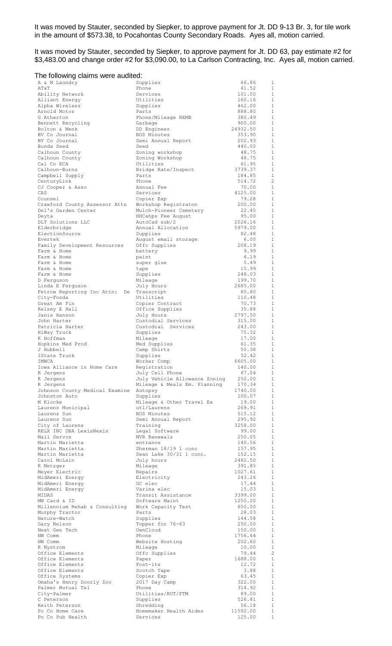It was moved by Stauter, seconded by Siepker, to approve payment for Jt. DD 9-13 Br. 3, for tile work in the amount of \$573.38, to Pocahontas County Secondary Roads. Ayes all, motion carried.

It was moved by Stauter, seconded by Siepker, to approve payment for Jt. DD 63, pay estimate #2 for \$3,483.00 and change order #2 for \$3,090.00, to La Carlson Contracting, Inc. Ayes all, motion carried.

## The following claims were audited:

| A & M Laundry                      | Supplies                            | 66.86             | 1                              |
|------------------------------------|-------------------------------------|-------------------|--------------------------------|
| AΤ&Τ                               | Phone                               | 41.52             | 1                              |
| Ability Network                    | Services                            | 101.00            | $\mathbf{1}$                   |
| Alliant Energy                     | Utilities                           | 160.16            | 1<br>$\mathbf{1}$              |
| Alpha Wireless<br>Arnold Motor     | Supplies<br>Parts                   | 462.00<br>888.80  | $\mathbf{1}$                   |
| G Atherton                         | Phone/Mileage REMB                  | 380.49            | $\mathbf{1}$                   |
| Bennett Recycling                  | Garbage                             | 900.00            | $\mathbf{1}$                   |
| Bolton & Menk                      | DD Engineer                         | 24932.50          | $\mathbf{1}$                   |
| BV Co Journal                      | BOS Minutes                         | 353.90            | $\mathbf{1}$                   |
| BV Co Journal                      | Semi Annual Report                  | 202.93            | $\mathbf{1}$                   |
| Bunda Seed                         | Seed                                | 440.00            | 1                              |
| Calhoun County                     | Zoning workshop                     | 48.75             | $\mathbf{1}$                   |
| Calhoun County                     | Zoning Workshop                     | 48.75             | $\mathbf{1}$                   |
| Cal Co ECA                         | Utilities                           | 61.95             | $\mathbf{1}$                   |
| Calhoun-Burns                      | Bridge Rate/Inspect                 | 3739.37           | $\mathbf{1}$                   |
| Campbell Supply                    | Parts                               | 184.85            | $\mathbf{1}$                   |
| CenturyLink                        | Phone                               | 514.72            | $\overline{c}$                 |
| CJ Cooper & Asso                   | Annual Fee                          | 70.00             | $\mathbf{1}$                   |
| CAS                                | Services                            | 4125.00           | 1                              |
| Counsel                            | Copier Exp                          | 79.28             | $\mathbf{1}$                   |
| Crawford County Assessor Attn      | Workshop Registraton                | 200.00            | $\mathbf{1}$                   |
| Del's Garden Center                | Mulch-Pioneer Cemetery              | 22.45             | $\mathbf{1}$                   |
| Deyta<br>DLT Solutions LLC         | HHCahps Fee August<br>AutoCad sub/2 | 95.00<br>2026.16  | 1<br>$\mathbf{1}$              |
| Elderbridge                        | Annual Allocation                   | 5979.00           | $\mathbf{1}$                   |
| ElectionSource                     | Supplies                            | 82.48             | $\mathbf{1}$                   |
| Evertek                            | August email storage                | 6.00              | 1                              |
| Family Development Resources       | Offc Supplies                       | 208.19            | <sup>1</sup>                   |
| Farm & Home                        | battery                             | 9.99              | 1                              |
| Farm & Home                        | paint                               | 4.19              | <sup>1</sup>                   |
| Farm & Home                        | super glue                          | 5.49              | $\mathbf{1}$                   |
| Farm & Home                        | tape                                | 15.99             | 1                              |
| Farm & Home                        | Supplies                            | 248.03            | $\mathbf{1}$                   |
| D Ferguson                         | Mileage                             | 199.70            | 1                              |
| Linda E Ferguson                   | July Hours                          | 2685.00           | $\mathbf{1}$                   |
| Fetrow Reporting Inc Attn:<br>De   | Transcript                          | 85.80             | $\mathbf{1}$                   |
| City-Fonda                         | Utilities                           | 110.48            | $\mathbf{1}$                   |
| Great Am Fin                       | Copier Contract                     | 70.73             | 1                              |
| Kelsey E Hall                      | Office Supplies                     | 35.88             | $\mathbf{1}$                   |
| Janis Hanson                       | July Hours                          | 2797.50           | 1                              |
| John Harter                        | Custodial Services                  | 315.00            | $\mathbf{1}$                   |
| Patricia Harter                    | Custodial Services                  | 243.00            | 1                              |
| HiWay Truck                        | Supplies                            | 75.32             | 1                              |
| K Hoffman                          | Mileage                             | 17.00             | 1                              |
| Hopkins Med Prod<br>J Hubbell      | Med Supplies<br>Camp Shirts         | 61.35<br>50.38    | <sup>1</sup><br>1              |
| IState Truck                       | Supplies                            | 52.42             | -1                             |
| IMWCA                              | Worker Comp                         | 6605.00           | 1                              |
| Iowa Alliance in Home Care         | Registration                        | 140.00            | $\overline{\phantom{0}}$       |
| R Jergens                          | July Cell Phone                     | 67.04             | 1                              |
| R Jergens                          | July Vehicle Allowance Zoning       | 250.00            | $\overline{1}$                 |
| R Jergens                          | Mileage & Meals Em. Planning        | 170.34            | $\mathbf{1}$                   |
| Johnson County Medical Examine     | Autopsy                             | 1740.00           | $\mathbf{1}$                   |
| Johnston Auto                      | Supplies                            | 100.07            | $\mathbf{1}$                   |
| M Klocke                           | Mileage & Other Travel Ex           | 19.00             | $\mathbf{1}$                   |
| Laurens Municipal                  | utl/Laurens                         | 269.91            | $\mathbf{1}$                   |
| Laurens Sun                        | BOS Minutes                         | 515.12            | $\mathbf{1}$                   |
| Laurens Sun                        | Semi Annual Report                  | 295.92            | 1                              |
| City of Laurens                    | Training                            | 3258.00           | $\mathbf{1}$                   |
| RELX INC DBA LexisNexis            | Legal Software                      | 99.00             | $\mathbf{1}$                   |
| Mail Servcs                        | MVR Renewals                        | 250.05            | $\mathbf{1}$                   |
| Martin Marietta                    | entrance                            | 140.56            | $\mathbf{1}$                   |
| Martin Marietta                    | Sherman 18/19 1 conc                | 157.95            | $\mathbf{1}$<br>$\mathbf{1}$   |
| Martin Marietta<br>Carol McLain    | Swan Lake 30/31 1 conc.             | 152.15<br>2482.50 | $\mathbf{1}$                   |
| K Metzger                          | July hours<br>Mileage               | 391.85            | 1                              |
| Meyer Electric                     | Repairs                             | 1027.61           | $\mathbf{1}$                   |
| MidAmeri Energy                    | Electricity                         | 243.26            | 1                              |
| MidAmeri Energy                    | GC elec                             | 17.44             | $\mathbf{1}$                   |
| MidAmeri Energy                    | Varina elec                         | 15.03             | 1                              |
| MIDAS                              | Transit Assistance                  | 3399.00           | $\mathbf{1}$                   |
| MW Card & ID                       | Software Maint                      | 1250.00           | $\mathbf{1}$                   |
| Millennium Rehab & Consulting      | Work Capacity Test                  | 650.00            | $\mathbf{1}$                   |
| Murphy Tractor                     | Parts                               | 28.03             | 1                              |
| Nature-Watch                       | Supplies                            | 144.58            | -1                             |
| Gary Nelson                        | Topper for 76-63                    | 250.00            | $\mathbf{1}$                   |
| Next Gen Tech                      | OwnCloud                            | 150.00            | $\mathbf{1}$                   |
| NW Comm                            | Phone                               | 1756.64           | 1                              |
| NW Comm                            | Website Hosting                     | 202.60            | -1                             |
| R Nystrom                          | Mileage                             | 10.00             | $\mathbf{1}$                   |
| Office Elements                    | Offc Supplies                       | 79.44<br>1688.00  | $\overline{c}$<br>$\mathbf{1}$ |
| Office Elements<br>Office Elements | Paper<br>Post-its                   | 12.72             | 1                              |
| Office Elements                    | Scotch Tape                         | 3.88              | $\mathbf{1}$                   |
| Office Systems                     | Copier Exp                          | 63.45             | $\mathbf{1}$                   |
| Omaha's Henry Doorly Zoo           | 2017 Day Camp                       | 322.00            | $\mathbf{1}$                   |
| Palmer Mutual Tel                  | Phone                               | 314.92            | <sup>1</sup>                   |
| City-Palmer                        | Utilities/RUT/FTM                   | 89.00             | 1                              |
| C Peterson                         | Supplies                            | 526.81            | 1                              |
| Keith Peterson                     | Shredding                           | 56.18             | <sup>1</sup>                   |
| Po Co Home Care                    | Homemaker Health Aides              | 11592.00          | 1                              |
| Po Co Pub Health                   | Services                            | 125.00            | $\mathbf{1}$                   |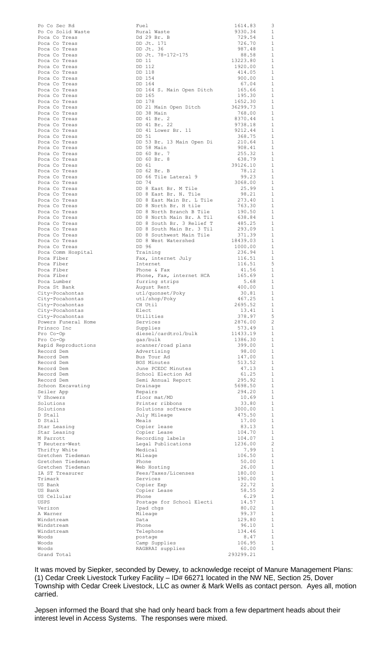| Po Co Sec Rd        | Fuel                                          | 1614.83             | 3              |
|---------------------|-----------------------------------------------|---------------------|----------------|
| Po Co Solid Waste   | Rural Waste                                   | 9330.34             | - 1            |
|                     |                                               |                     |                |
| Poca Co Treas       | Dd 29 Br. B                                   | 729.54<br>726.70    | $\overline{1}$ |
| Poca Co Treas       | DD Jt. 171                                    |                     | $\mathbf{1}$   |
| Poca Co Treas       | DD Jt. 36                                     | 987.48              | $\mathbf{1}$   |
| Poca Co Treas       | DD Jt. 78-172-175                             | 88.58               | $\mathbf{1}$   |
| Poca Co Treas       | DD 11                                         | 13223.80<br>1920.00 | $\overline{1}$ |
| Poca Co Treas       | DD 112                                        |                     | $\mathbf{1}$   |
| Poca Co Treas       | DD 118                                        |                     | $\mathbf{1}$   |
|                     |                                               | 414.05<br>900.00    |                |
| Poca Co Treas       | DD 154                                        |                     | $\mathbf{1}$   |
| Poca Co Treas       | DD 164                                        | 67.04               | $\mathbf{1}$   |
| Poca Co Treas       | DD 164 S. Main Open Ditch 165.66              |                     | $\overline{1}$ |
| Poca Co Treas       | DD 165                                        | 195.30              | $\mathbf{1}$   |
| Poca Co Treas       | DD 178                                        | 1652.30             | $\mathbf{1}$   |
|                     |                                               |                     |                |
| Poca Co Treas       | DD 21 Main Open Ditch                         | 36299.73<br>768.00  | - 1            |
| Poca Co Treas       | DD 38 Main                                    |                     | $\overline{1}$ |
| Poca Co Treas       | DD 41 Br. 2<br>DD 41 Br. 22                   | 8370.44<br>9738.18  | - 1            |
| Poca Co Treas       |                                               |                     | $\overline{1}$ |
| Poca Co Treas       | DD 41 Lower Br. 11                            | 9212.44             | $\mathbf{1}$   |
| Poca Co Treas       | DD 51                                         | 368.75              | $\overline{1}$ |
|                     |                                               |                     |                |
| Poca Co Treas       | DD 53 Br. 13 Main Open Di 210.64              |                     | - 1            |
| Poca Co Treas       | DD 58 Main                                    | 908.41              | $\overline{1}$ |
| Poca Co Treas       | DD 60 Br. 7                                   | 255.32              | <sup>1</sup>   |
| Poca Co Treas       | DD 60 Br. 8                                   | 638.79              | $\overline{1}$ |
| Poca Co Treas       | DD 61                                         | 39126.10            | <sup>1</sup>   |
|                     | DD 62 Br. B                                   | 78.12               | $\overline{1}$ |
| Poca Co Treas       |                                               |                     |                |
| Poca Co Treas       | DD 66 Tile Lateral 9                          | 99.23               | 1              |
| Poca Co Treas       | DD 74                                         | 3068.00             | <sup>1</sup>   |
| Poca Co Treas       | DD 8 East Br. M Tile<br>DD 8 East Br. N. Tile | 25.99               | 1              |
| Poca Co Treas       |                                               | 98.21               | <sup>1</sup>   |
| Poca Co Treas       | DD 8 East Main Br. L Tile 273.40              |                     | 1              |
|                     | DD 8 North Br. H tile                         | 763.30              | -1             |
| Poca Co Treas       |                                               |                     |                |
| Poca Co Treas       | DD 8 North Branch B Tile 190.50               |                     | 1              |
| Poca Co Treas       | DD 8 North Main Br. A Til                     | 638.84              | 1              |
| Poca Co Treas       | DD 8 South Br. 3 Relief T                     | 485.25              | 1              |
| Poca Co Treas       | DD 8 South Main Br. 3 Til                     | 293.09              | 1              |
| Poca Co Treas       | DD 8 Southwest Main Tile                      | 371.39              | 1              |
|                     |                                               |                     |                |
| Poca Co Treas       | DD 8 West Watershed                           | 18439.03            | $\mathbf{1}$   |
| Poca Co Treas       | DD 96                                         | 1000.00             | 1              |
| Poca Comm Hospital  | Training                                      | 236.94              | 1              |
| Poca Fiber          | Fax, internet July                            | 116.51              | 1              |
| Poca Fiber          | Internet                                      | 116.51              | 5              |
| Poca Fiber          | Phone & Fax                                   | 41.56               | $\mathbf{1}$   |
|                     |                                               |                     |                |
| Poca Fiber          | Phone, Fax, internet HCA 165.69               |                     | $\mathbf{1}$   |
| Poca Lumber         | furring strips                                | 5.68                | $\mathbf{1}$   |
| Poca St Bank        | August Rent                                   | 400.00              | $\mathbf{1}$   |
| City-Pocahontas     | utl/quonset/Poky                              | 30.81               | $\mathbf{1}$   |
| City-Pocahontas     | utl/shop/Poky                                 | 467.25              | $\overline{1}$ |
|                     | CH Util                                       | 2695.52             | <sup>1</sup>   |
| City-Pocahontas     |                                               |                     |                |
| City-Pocahontas     | Elect                                         | 13.41               | $\mathbf{1}$   |
| City-Pocahontas     | Utilities                                     | 378.97              | -5             |
| Powers Funeral Home | Services                                      | 2876.00             | $\overline{c}$ |
| Prinsco Inc         | Supplies                                      | 573.49              | 1              |
| Pro Co-Op           | diesel/cardtrol/bulk                          | 11433.19            | 1              |
|                     | gas/bulk                                      | 1386.30             | $\mathbf{1}$   |
| Pro Co-Op           |                                               |                     |                |
| Rapid Reproductions | scanner/road plans                            | 399.00              | 1              |
| Record Dem          | Advertising                                   | 98.00               | $\mathbf{1}$   |
| Record Dem          | Bus Tour Ad                                   | 147.00              | 1              |
| Record Dem          | BOS Minutes                                   | 513.52              | $\mathbf{1}$   |
| Record Dem          | June PCEDC Minutes                            | 47.13               | 1              |
| Record Dem          | School Election Ad                            | 61.25               | $\mathbf{1}$   |
|                     |                                               | 295.92              |                |
| Record Dem          | Semi Annual Report                            |                     | 1              |
| Schoon Excavating   | Drainage                                      | 5698.50             | $\mathbf{1}$   |
| Seiler App          | Repairs                                       | 294.20              | 1              |
| V Showers           | floor mat/MD                                  | 10.69               | 1              |
| Solutions           | Printer ribbons                               | 33.80               | 1              |
| Solutions           | Solutions software                            | 3000.00             | $\mathbf{1}$   |
| D Stall             | July Mileage                                  | 475.50              | 1              |
|                     |                                               |                     | -1             |
| D Stall             | Meals                                         | 17.00               |                |
| Star Leasing        | Copier lease                                  | 83.13               | 1              |
| Star Leasing        | Copier Lease                                  | 104.70              | -1             |
| M Parrott           | Recording labels                              | 104.07              | 1              |
| T Reuters-West      | Legal Publications                            | 1236.00             | $\overline{c}$ |
| Thrifty White       | Medical                                       | 7.99                | 1              |
| Gretchen Tiedeman   | Mileage                                       | 106.50              | $\mathbf{1}$   |
|                     |                                               |                     |                |
| Gretchen Tiedeman   | Phone                                         | 50.00               | 1              |
| Gretchen Tiedeman   | Web Hosting                                   | 26.00               | $\mathbf{1}$   |
| IA ST Treasurer     | Fees/Taxes/Licenses                           | 180.00              | 1              |
| Trimark             | Services                                      | 190.00              | $\mathbf{1}$   |
| US Bank             | Copier Exp                                    | 22.72               | 1              |
| US Bank             | Copier Lease                                  | 58.55               | $\overline{c}$ |
|                     |                                               |                     |                |
| US Cellular         | Phone                                         | 6.29                | 1              |
| USPS                | Postage for School Electi                     | 14.57               | $\mathbf{1}$   |
| Verizon             | Ipad chgs                                     | 80.02               | 1              |
| A Warner            | Mileage                                       | 99.37               | $\mathbf{1}$   |
| Windstream          | Data                                          | 129.80              | $\mathbf{1}$   |
| Windstream          | Phone                                         | 96.10               | $\mathbf{1}$   |
|                     |                                               |                     |                |
| Windstream          | Telephone                                     | 134.46              | $\mathbf{1}$   |
| Woods               | postage                                       | 8.47                | 1              |
| Woods               | Camp Supplies                                 | 106.95              | 1              |
| Woods               | RAGBRAI supplies                              | 60.00               | $\mathbf{1}$   |
| Grand Total         |                                               | 293299.21           |                |
|                     |                                               |                     |                |

It was moved by Siepker, seconded by Dewey, to acknowledge receipt of Manure Management Plans: (1) Cedar Creek Livestock Turkey Facility – ID# 66271 located in the NW NE, Section 25, Dover Township with Cedar Creek Livestock, LLC as owner & Mark Wells as contact person. Ayes all, motion carried.

Jepsen informed the Board that she had only heard back from a few department heads about their interest level in Access Systems. The responses were mixed.